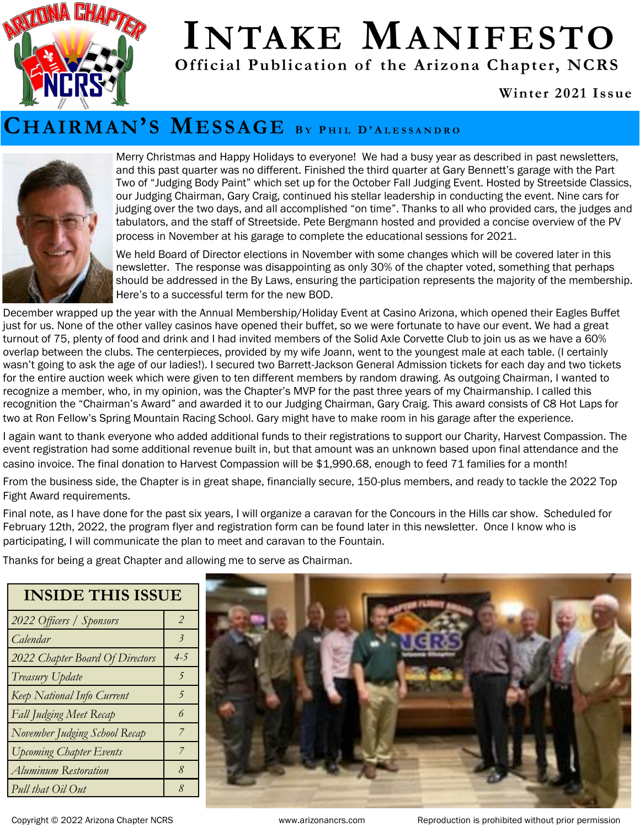

# **INTAKE MANIFESTO**

**Official Publication of the Arizona Chapter, NCRS** 

#### **Winter 2021 Issue**

#### **CHAIRMAN'S MESSAGE <sup>B</sup> <sup>Y</sup> <sup>P</sup> H I L D ' A L E S S A N D R O**



Merry Christmas and Happy Holidays to everyone! We had a busy year as described in past newsletters, and this past quarter was no different. Finished the third quarter at Gary Bennett's garage with the Part Two of "Judging Body Paint" which set up for the October Fall Judging Event. Hosted by Streetside Classics, our Judging Chairman, Gary Craig, continued his stellar leadership in conducting the event. Nine cars for judging over the two days, and all accomplished "on time". Thanks to all who provided cars, the judges and tabulators, and the staff of Streetside. Pete Bergmann hosted and provided a concise overview of the PV process in November at his garage to complete the educational sessions for 2021.

We held Board of Director elections in November with some changes which will be covered later in this newsletter. The response was disappointing as only 30% of the chapter voted, something that perhaps should be addressed in the By Laws, ensuring the participation represents the majority of the membership. Here's to a successful term for the new BOD.

December wrapped up the year with the Annual Membership/Holiday Event at Casino Arizona, which opened their Eagles Buffet just for us. None of the other valley casinos have opened their buffet, so we were fortunate to have our event. We had a great turnout of 75, plenty of food and drink and I had invited members of the Solid Axle Corvette Club to join us as we have a 60% overlap between the clubs. The centerpieces, provided by my wife Joann, went to the youngest male at each table. (I certainly wasn't going to ask the age of our ladies!). I secured two Barrett-Jackson General Admission tickets for each day and two tickets for the entire auction week which were given to ten different members by random drawing. As outgoing Chairman, I wanted to recognize a member, who, in my opinion, was the Chapter's MVP for the past three years of my Chairmanship. I called this recognition the "Chairman's Award" and awarded it to our Judging Chairman, Gary Craig. This award consists of C8 Hot Laps for two at Ron Fellow's Spring Mountain Racing School. Gary might have to make room in his garage after the experience.

I again want to thank everyone who added additional funds to their registrations to support our Charity, Harvest Compassion. The event registration had some additional revenue built in, but that amount was an unknown based upon final attendance and the casino invoice. The final donation to Harvest Compassion will be \$1,990.68, enough to feed 71 families for a month!

From the business side, the Chapter is in great shape, financially secure, 150-plus members, and ready to tackle the 2022 Top Fight Award requirements.

Final note, as I have done for the past six years, I will organize a caravan for the Concours in the Hills car show. Scheduled for February 12th, 2022, the program flyer and registration form can be found later in this newsletter. Once I know who is participating, I will communicate the plan to meet and caravan to the Fountain.

Thanks for being a great Chapter and allowing me to serve as Chairman.

#### **INSIDE THIS ISSUE**

| 2022 Officers / Sponsors        | $\mathcal{P}$            |
|---------------------------------|--------------------------|
| Calendar                        | $\overline{\mathcal{E}}$ |
| 2022 Chapter Board Of Directors | $4 - 5$                  |
| Treasury Update                 | 5                        |
| Keep National Info Current      | 5                        |
| Fall Judging Meet Recap         | 6                        |
| November Judging School Recap   | 7                        |
| <b>Upcoming Chapter Events</b>  | 7                        |
| Aluminum Restoration            | 8                        |
| Pull that Oil Out               | 8                        |



Copyright © 2022 Arizona Chapter NCRS www.arizonancrs.com Reproduction is prohibited without prior permission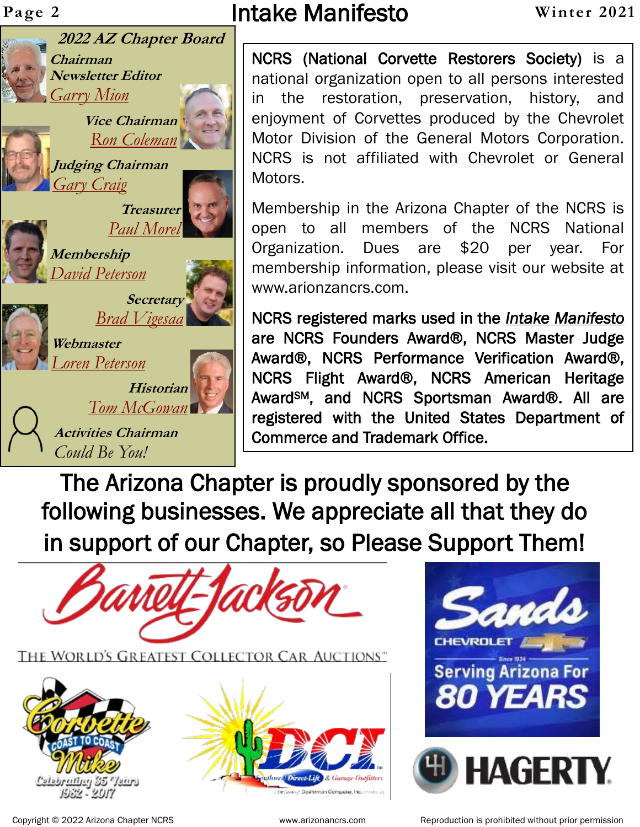**Chairman**

*[Garry Mion](mailto:chairman@arizonancrs.com)*

*[Gary Craig](mailto:judging@arizonancrs.com)*

**Membership**

**Webmaster**

*[Loren Peterson](mailto:webmaster@arizonancrs.com)*

*Could Be You!*

*[David Peterson](mailto:Membership@arizonancrs.com)*

**Newsletter Editor**

**Judging Chairman**



**2022 AZ Chapter Board**

**Vice Chairman** *[Ron Coleman](mailto:ViceChairman@arizonancrs.com)*

**Treasurer**

**Secretary**

**Historian**

*[Brad Vigesaa](mailto:secretary@arizonancrs.com)*

*[Tom McGowan](mailto:Historian@arizonancrs.com)*

**Activities Chairman**

*[Paul Morel](mailto:Treasurer@arizonancrs.com)*

Page 2 **Intake Manifesto Winter 2021** 

NCRS (National Corvette Restorers Society) is a national organization open to all persons interested in the restoration, preservation, history, and enjoyment of Corvettes produced by the Chevrolet Motor Division of the General Motors Corporation. NCRS is not affiliated with Chevrolet or General Motors.

Membership in the Arizona Chapter of the NCRS is open to all members of the NCRS National Organization. Dues are \$20 per year. For membership information, please visit our website at www.arionzancrs.com.

NCRS registered marks used in the *Intake Manifesto* are NCRS Founders Award®, NCRS Master Judge Award®, NCRS Performance Verification Award®, NCRS Flight Award®, NCRS American Heritage AwardSM, and NCRS Sportsman Award®. All are registered with the United States Department of Commerce and Trademark Office.

The Arizona Chapter is proudly sponsored by the following businesses. We appreciate all that they do in support of our Chapter, so Please Support Them!













Copyright © 2022 Arizona Chapter NCRS **WEEN THE MENT WOWEN** www.arizonancrs.com Reproduction is prohibited without prior permission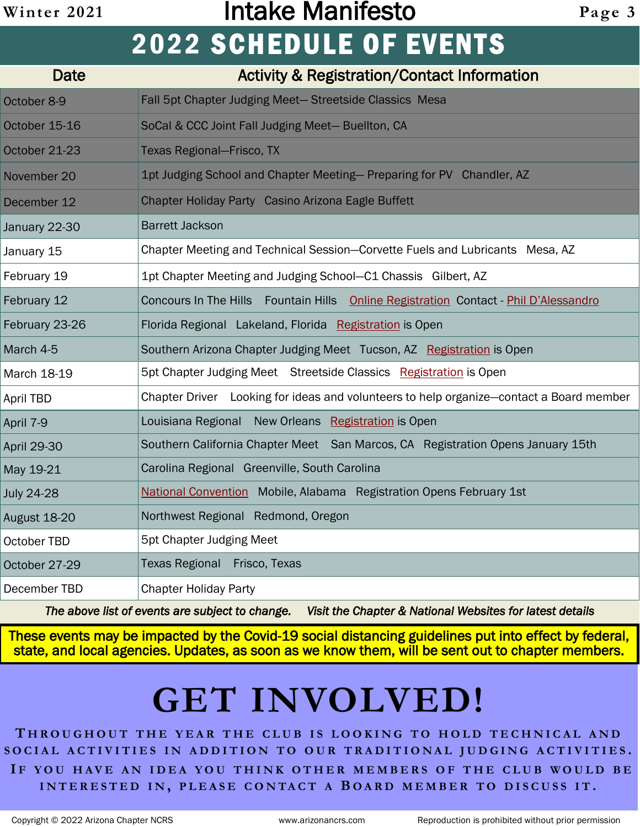# **Winter 2021** Intake Manifesto **Page 3 2022 SCHEDULE OF EVENTS**

| Date               | <b>Activity &amp; Registration/Contact Information</b>                                  |
|--------------------|-----------------------------------------------------------------------------------------|
| October 8-9        | Fall 5pt Chapter Judging Meet-Streetside Classics Mesa                                  |
| October 15-16      | SoCal & CCC Joint Fall Judging Meet-Buellton, CA                                        |
| October 21-23      | <b>Texas Regional-Frisco, TX</b>                                                        |
| November 20        | 1pt Judging School and Chapter Meeting- Preparing for PV Chandler, AZ                   |
| December 12        | Chapter Holiday Party Casino Arizona Eagle Buffett                                      |
| January 22-30      | <b>Barrett Jackson</b>                                                                  |
| January 15         | Chapter Meeting and Technical Session-Corvette Fuels and Lubricants Mesa, AZ            |
| February 19        | 1pt Chapter Meeting and Judging School-C1 Chassis Gilbert, AZ                           |
| February 12        | Concours In The Hills Fountain Hills Online Registration Contact - Phil D'Alessandro    |
| February 23-26     | Florida Regional Lakeland, Florida Registration is Open                                 |
| March 4-5          | Southern Arizona Chapter Judging Meet Tucson, AZ Registration is Open                   |
| March 18-19        | 5pt Chapter Judging Meet Streetside Classics Registration is Open                       |
| <b>April TBD</b>   | Chapter Driver Looking for ideas and volunteers to help organize-contact a Board member |
| April 7-9          | Louisiana Regional New Orleans Registration is Open                                     |
| <b>April 29-30</b> | Southern California Chapter Meet San Marcos, CA Registration Opens January 15th         |
| May 19-21          | Carolina Regional Greenville, South Carolina                                            |
| <b>July 24-28</b>  | <b>National Convention</b> Mobile, Alabama Registration Opens February 1st              |
| August 18-20       | Northwest Regional Redmond, Oregon                                                      |
| October TBD        | 5pt Chapter Judging Meet                                                                |
| October 27-29      | Texas Regional Frisco, Texas                                                            |
| December TBD       | <b>Chapter Holiday Party</b>                                                            |

*The above list of events are subject to change. Visit the Chapter & National Websites for latest details*

These events may be impacted by the Covid-19 social distancing guidelines put into effect by federal, state, and local agencies. Updates, as soon as we know them, will be sent out to chapter members.

# **GET INVOLVED!**

**T H R O U G H O U T T H E Y E A R T H E C L U B I S L O O K I N G T O H O L D T E C H N I C A L A N D S O C I A L A C T I V I T I E S I N A D D I T I O N T O OUR T R A D I T I O N A L J U D G I N G A C T I V I T I E S . I F Y O U H A V E A N I D E A Y O U T H I N K O T H E R M E M B E R S O F T H E C L U B W O U L D B E I N T E R E S T E D I N , P L E A S E C O N T A C T A B O A R D M E M B E R T O D I S C U S S I T .**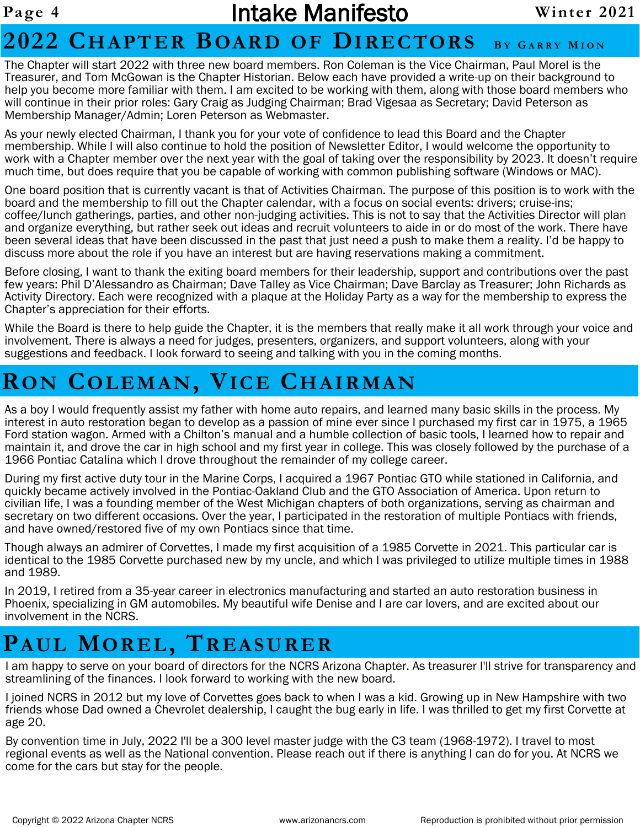### Page 4 **Intake Manifesto** Winter 2021

## **2022 CHAPTER BOARD OF DIRECTORS <sup>B</sup> <sup>Y</sup> <sup>G</sup> A R R Y <sup>M</sup> I O N**

The Chapter will start 2022 with three new board members. Ron Coleman is the Vice Chairman, Paul Morel is the Treasurer, and Tom McGowan is the Chapter Historian. Below each have provided a write-up on their background to help you become more familiar with them. I am excited to be working with them, along with those board members who will continue in their prior roles: Gary Craig as Judging Chairman; Brad Vigesaa as Secretary; David Peterson as Membership Manager/Admin; Loren Peterson as Webmaster.

As your newly elected Chairman, I thank you for your vote of confidence to lead this Board and the Chapter membership. While I will also continue to hold the position of Newsletter Editor, I would welcome the opportunity to work with a Chapter member over the next year with the goal of taking over the responsibility by 2023. It doesn't require much time, but does require that you be capable of working with common publishing software (Windows or MAC).

One board position that is currently vacant is that of Activities Chairman. The purpose of this position is to work with the board and the membership to fill out the Chapter calendar, with a focus on social events: drivers; cruise-ins; coffee/lunch gatherings, parties, and other non-judging activities. This is not to say that the Activities Director will plan and organize everything, but rather seek out ideas and recruit volunteers to aide in or do most of the work. There have been several ideas that have been discussed in the past that just need a push to make them a reality. I'd be happy to discuss more about the role if you have an interest but are having reservations making a commitment.

Before closing, I want to thank the exiting board members for their leadership, support and contributions over the past few years: Phil D'Alessandro as Chairman; Dave Talley as Vice Chairman; Dave Barclay as Treasurer; John Richards as Activity Directory. Each were recognized with a plaque at the Holiday Party as a way for the membership to express the Chapter's appreciation for their efforts.

While the Board is there to help guide the Chapter, it is the members that really make it all work through your voice and involvement. There is always a need for judges, presenters, organizers, and support volunteers, along with your suggestions and feedback. I look forward to seeing and talking with you in the coming months.

# **RON COLEMAN, VICE CHAIRMAN**

As a boy I would frequently assist my father with home auto repairs, and learned many basic skills in the process. My interest in auto restoration began to develop as a passion of mine ever since I purchased my first car in 1975, a 1965 Ford station wagon. Armed with a Chilton's manual and a humble collection of basic tools, I learned how to repair and maintain it, and drove the car in high school and my first year in college. This was closely followed by the purchase of a 1966 Pontiac Catalina which I drove throughout the remainder of my college career.

During my first active duty tour in the Marine Corps, I acquired a 1967 Pontiac GTO while stationed in California, and quickly became actively involved in the Pontiac-Oakland Club and the GTO Association of America. Upon return to civilian life, I was a founding member of the West Michigan chapters of both organizations, serving as chairman and secretary on two different occasions. Over the year, I participated in the restoration of multiple Pontiacs with friends, and have owned/restored five of my own Pontiacs since that time.

Though always an admirer of Corvettes, I made my first acquisition of a 1985 Corvette in 2021. This particular car is identical to the 1985 Corvette purchased new by my uncle, and which I was privileged to utilize multiple times in 1988 and 1989.

In 2019, I retired from a 35-year career in electronics manufacturing and started an auto restoration business in Phoenix, specializing in GM automobiles. My beautiful wife Denise and I are car lovers, and are excited about our involvement in the NCRS.

# **PAUL MOREL, TREASURER**

I am happy to serve on your board of directors for the NCRS Arizona Chapter. As treasurer I'll strive for transparency and streamlining of the finances. I look forward to working with the new board.

I joined NCRS in 2012 but my love of Corvettes goes back to when I was a kid. Growing up in New Hampshire with two friends whose Dad owned a Chevrolet dealership, I caught the bug early in life. I was thrilled to get my first Corvette at age 20.

By convention time in July, 2022 I'll be a 300 level master judge with the C3 team (1968-1972). I travel to most regional events as well as the National convention. Please reach out if there is anything I can do for you. At NCRS we come for the cars but stay for the people.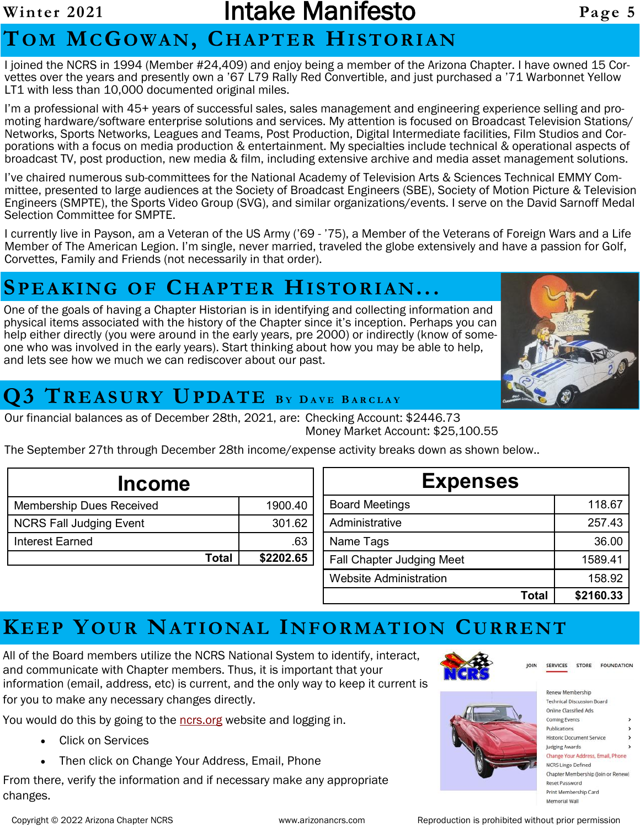### **Winter 2021** Intake Manifesto **Page 5**

# **TO M MCGOWA N, CHA P T ER HI STO R I AN**

I joined the NCRS in 1994 (Member #24,409) and enjoy being a member of the Arizona Chapter. I have owned 15 Corvettes over the years and presently own a '67 L79 Rally Red Convertible, and just purchased a '71 Warbonnet Yellow LT1 with less than 10,000 documented original miles.

I'm a professional with 45+ years of successful sales, sales management and engineering experience selling and promoting hardware/software enterprise solutions and services. My attention is focused on Broadcast Television Stations/ Networks, Sports Networks, Leagues and Teams, Post Production, Digital Intermediate facilities, Film Studios and Corporations with a focus on media production & entertainment. My specialties include technical & operational aspects of broadcast TV, post production, new media & film, including extensive archive and media asset management solutions.

I've chaired numerous sub-committees for the National Academy of Television Arts & Sciences Technical EMMY Committee, presented to large audiences at the Society of Broadcast Engineers (SBE), Society of Motion Picture & Television Engineers (SMPTE), the Sports Video Group (SVG), and similar organizations/events. I serve on the David Sarnoff Medal Selection Committee for SMPTE.

I currently live in Payson, am a Veteran of the US Army ('69 - '75), a Member of the Veterans of Foreign Wars and a Life Member of The American Legion. I'm single, never married, traveled the globe extensively and have a passion for Golf, Corvettes, Family and Friends (not necessarily in that order).

### **SP E A K IN G O F CH A PTE R HI S TOR I AN...**

One of the goals of having a Chapter Historian is in identifying and collecting information and physical items associated with the history of the Chapter since it's inception. Perhaps you can help either directly (you were around in the early years, pre 2000) or indirectly (know of someone who was involved in the early years). Start thinking about how you may be able to help, and lets see how we much we can rediscover about our past.



## **Q3 TR E ASU RY UPDAT E <sup>B</sup> <sup>Y</sup> <sup>D</sup> A V E <sup>B</sup> A R C L A Y**

Our financial balances as of December 28th, 2021, are: Checking Account: \$2446.73 Money Market Account: \$25,100.55

The September 27th through December 28th income/expense activity breaks down as shown below..

| <b>Income</b>                   |           | Expen                            |
|---------------------------------|-----------|----------------------------------|
| <b>Membership Dues Received</b> | 1900.40   | <b>Board Meetings</b>            |
| <b>NCRS Fall Judging Event</b>  | 301.62    | Administrative                   |
| Interest Earned                 | .63       | Name Tags                        |
| Total                           | \$2202.65 | <b>Fall Chapter Judging Meet</b> |
|                                 |           |                                  |

| <b>Expenses</b>                  |           |  |
|----------------------------------|-----------|--|
| <b>Board Meetings</b>            | 118.67    |  |
| Administrative                   | 257.43    |  |
| Name Tags                        | 36.00     |  |
| <b>Fall Chapter Judging Meet</b> | 1589.41   |  |
| Website Administration           | 158.92    |  |
| Total                            | \$2160.33 |  |

# **KEEP YOUR NA T IO NA L IN F ORM A T IO N CU R R E NT**

All of the Board members utilize the NCRS National System to identify, interact, and communicate with Chapter members. Thus, it is important that your information (email, address, etc) is current, and the only way to keep it current is for you to make any necessary changes directly.

You would do this by going to the nors org website and logging in.

- Click on Services
- Then click on Change Your Address, Email, Phone

From there, verify the information and if necessary make any appropriate changes.



| Renew Membership                   |  |
|------------------------------------|--|
| <b>Technical Discussion Board</b>  |  |
| Online Classified Ads              |  |
| Coming Events                      |  |
| Publications                       |  |
| Historic Document Service          |  |
| Judging Awards                     |  |
| Change Your Address, Email, Phone  |  |
| <b>NCRS Lingo Defined</b>          |  |
| Chapter Membership (Join or Renew) |  |
| Reset Password                     |  |
| Print Membership Card              |  |
| Memorial Wall                      |  |

**SERVICES** 

STORE FOUNDATION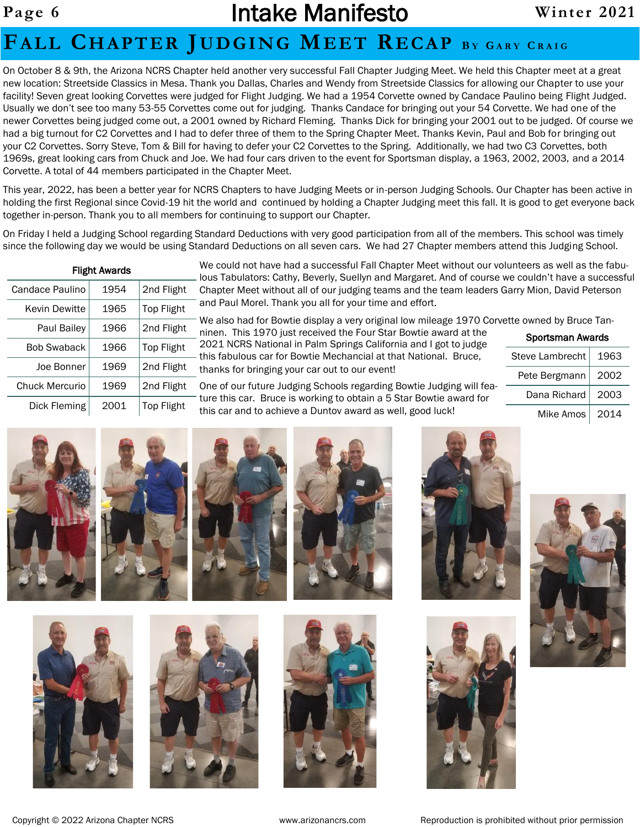#### **FA L L CH AP T ER JU D GI N G ME ET REC A P <sup>B</sup> <sup>Y</sup> <sup>G</sup> ARY <sup>C</sup> RAIG**

On October 8 & 9th, the Arizona NCRS Chapter held another very successful Fall Chapter Judging Meet. We held this Chapter meet at a great new location: Streetside Classics in Mesa. Thank you Dallas, Charles and Wendy from Streetside Classics for allowing our Chapter to use your facility! Seven great looking Corvettes were judged for Flight Judging. We had a 1954 Corvette owned by Candace Paulino being Flight Judged. Usually we don't see too many 53-55 Corvettes come out for judging. Thanks Candace for bringing out your 54 Corvette. We had one of the newer Corvettes being judged come out, a 2001 owned by Richard Fleming. Thanks Dick for bringing your 2001 out to be judged. Of course we had a big turnout for C2 Corvettes and I had to defer three of them to the Spring Chapter Meet. Thanks Kevin, Paul and Bob for bringing out your C2 Corvettes. Sorry Steve, Tom & Bill for having to defer your C2 Corvettes to the Spring. Additionally, we had two C3 Corvettes, both 1969s, great looking cars from Chuck and Joe. We had four cars driven to the event for Sportsman display, a 1963, 2002, 2003, and a 2014 Corvette. A total of 44 members participated in the Chapter Meet.

This year, 2022, has been a better year for NCRS Chapters to have Judging Meets or in-person Judging Schools. Our Chapter has been active in holding the first Regional since Covid-19 hit the world and continued by holding a Chapter Judging meet this fall. It is good to get everyone back together in-person. Thank you to all members for continuing to support our Chapter.

On Friday I held a Judging School regarding Standard Deductions with very good participation from all of the members. This school was timely since the following day we would be using Standard Deductions on all seven cars. We had 27 Chapter members attend this Judging School.

| <b>Flight Awards</b> |      |                   |  |
|----------------------|------|-------------------|--|
| Candace Paulino      | 1954 | 2nd Flight        |  |
| <b>Kevin Dewitte</b> | 1965 | Top Flight        |  |
| Paul Bailey          | 1966 | 2nd Flight        |  |
| <b>Bob Swaback</b>   | 1966 | <b>Top Flight</b> |  |
| Joe Bonner           | 1969 | 2nd Flight        |  |
| Chuck Mercurio       | 1969 | 2nd Flight        |  |
| Dick Fleming         | 2001 | Top Flight        |  |

We could not have had a successful Fall Chapter Meet without our volunteers as well as the fabuous Tabulators: Cathy, Beverly, Suellyn and Margaret. And of course we couldn't have a successful Chapter Meet without all of our judging teams and the team leaders Garry Mion, David Peterson and Paul Morel. Thank you all for your time and effort.

We also had for Bowtie display a very original low mileage 1970 Corvette owned by Bruce Tanninen. This 1970 just received the Four Star Bowtie award at the 2021 NCRS National in Palm Springs California and I got to judge this fabulous car for Bowtie Mechancial at that National. Bruce, thanks for bringing your car out to our event!

One of our future Judging Schools regarding Bowtie Judging will feature this car. Bruce is working to obtain a 5 Star Bowtie award for his car and to achieve a Duntov award as well, good luck!

| Steve Lambrecht | 1963 |
|-----------------|------|
| Pete Bergmann   | 2002 |
| Dana Richard    | 2003 |
| Mike Amos       | 2014 |

Sportsman Awards





















Copyright © 2022 Arizona Chapter NCRS www.arizonancrs.com Reproduction is prohibited without prior permission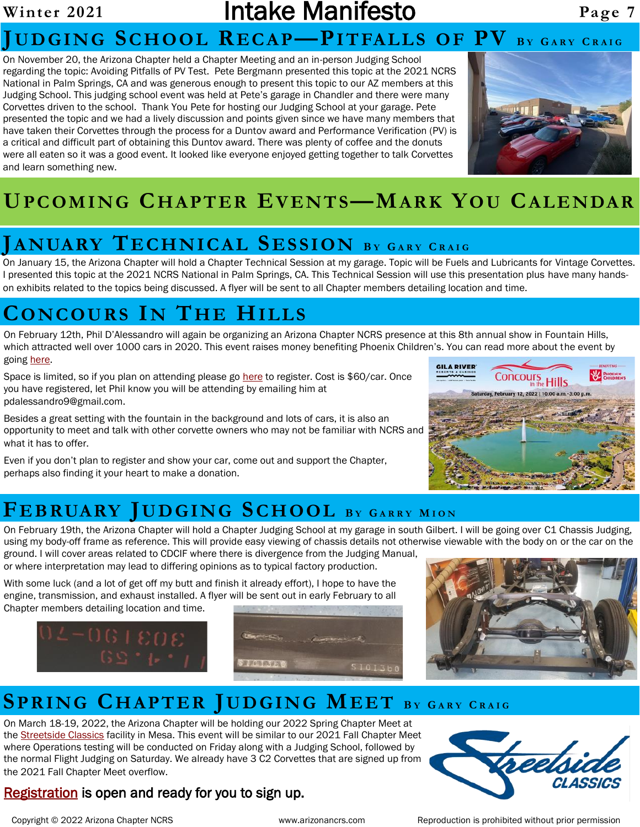#### Winter 2021 **Intake Manifesto** Page 7 **JUD G IN G SC H OO L REC A P—PI T FA L L S O F PV <sup>B</sup> <sup>Y</sup> <sup>G</sup> ARY <sup>C</sup> R A I G**

On November 20, the Arizona Chapter held a Chapter Meeting and an in-person Judging School regarding the topic: Avoiding Pitfalls of PV Test. Pete Bergmann presented this topic at the 2021 NCRS National in Palm Springs, CA and was generous enough to present this topic to our AZ members at this Judging School. This judging school event was held at Pete's garage in Chandler and there were many Corvettes driven to the school. Thank You Pete for hosting our Judging School at your garage. Pete presented the topic and we had a lively discussion and points given since we have many members that have taken their Corvettes through the process for a Duntov award and Performance Verification (PV) is a critical and difficult part of obtaining this Duntov award. There was plenty of coffee and the donuts were all eaten so it was a good event. It looked like everyone enjoyed getting together to talk Corvettes and learn something new.



# **UP C OM I NG CH A P TER EV EN T S—MA RK YO U CA L E NDAR**

#### **JANUARY TE CH N IC AL SE S S I ON <sup>B</sup> <sup>Y</sup> <sup>G</sup> ARY <sup>C</sup> RAIG**

On January 15, the Arizona Chapter will hold a Chapter Technical Session at my garage. Topic will be Fuels and Lubricants for Vintage Corvettes. I presented this topic at the 2021 NCRS National in Palm Springs, CA. This Technical Session will use this presentation plus have many handson exhibits related to the topics being discussed. A flyer will be sent to all Chapter members detailing location and time.

#### **CO NC OU RS IN TH E HI L L S**

On February 12th, Phil D'Alessandro will again be organizing an Arizona Chapter NCRS presence at this 8th annual show in Fountain Hills, which attracted well over 1000 cars in 2020. This event raises money benefiting Phoenix Children's. You can read more about the event by going [here.](https://www.concoursinthehills.org/)

Space is limited, so if you plan on attending please go [here](https://secure.phoenixchildrensfoundation.org/site/Ticketing?view=Tickets&id=114944&_ga=2.242454210.1965237080.1623079858-1578642170.1616717720&utm_source=concoursinthehills.org&utm_medium=referral&utm_campaign=event-promotion-2022-concours-in-the-hills&ut) to register. Cost is \$60/car. Once you have registered, let Phil know you will be attending by emailing him at pdalessandro9@gmail.com.

Besides a great setting with the fountain in the background and lots of cars, it is also an opportunity to meet and talk with other corvette owners who may not be familiar with NCRS and what it has to offer.

Even if you don't plan to register and show your car, come out and support the Chapter, perhaps also finding it your heart to make a donation.



### **FE B RUARY JUD G IN G SC H OO L <sup>B</sup> <sup>Y</sup> <sup>G</sup> ARRY <sup>M</sup> I O N**

On February 19th, the Arizona Chapter will hold a Chapter Judging School at my garage in south Gilbert. I will be going over C1 Chassis Judging, using my body-off frame as reference. This will provide easy viewing of chassis details not otherwise viewable with the body on or the car on the ground. I will cover areas related to CDCIF where there is divergence from the Judging Manual,

or where interpretation may lead to differing opinions as to typical factory production.

With some luck (and a lot of get off my butt and finish it already effort), I hope to have the engine, transmission, and exhaust installed. A flyer will be sent out in early February to all Chapter members detailing location and time.







### **SP R I NG CH A P T ER JUD G IN G MEE T <sup>B</sup> <sup>Y</sup> <sup>G</sup> ARY <sup>C</sup> R A I G**

On March 18-19, 2022, the Arizona Chapter will be holding our 2022 Spring Chapter Meet at the [Streetside Classics](https://www.streetsideclassics.com/locations/phoenix) facility in Mesa. This event will be similar to our 2021 Fall Chapter Meet where Operations testing will be conducted on Friday along with a Judging School, followed by the normal Flight Judging on Saturday. We already have 3 C2 Corvettes that are signed up from the 2021 Fall Chapter Meet overflow.



#### [Registration](https://www.forums.ncrs.org/register/event-subscription.php) is open and ready for you to sign up.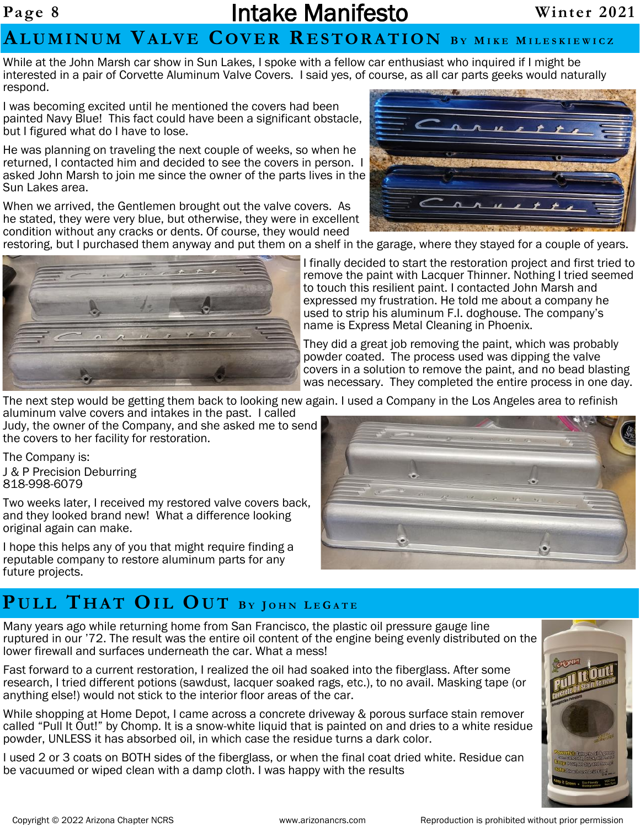### Page 8 **Intake Manifesto** Winter 2021

#### **AL U M I N U M VA LV E COV E R R E S TO R A T I O N <sup>B</sup> <sup>Y</sup> <sup>M</sup> I K E <sup>M</sup> I L E S K I E W I C Z**

While at the John Marsh car show in Sun Lakes, I spoke with a fellow car enthusiast who inquired if I might be interested in a pair of Corvette Aluminum Valve Covers. I said yes, of course, as all car parts geeks would naturally respond.

I was becoming excited until he mentioned the covers had been painted Navy Blue! This fact could have been a significant obstacle, but I figured what do I have to lose.

He was planning on traveling the next couple of weeks, so when he returned, I contacted him and decided to see the covers in person. I asked John Marsh to join me since the owner of the parts lives in the Sun Lakes area.

When we arrived, the Gentlemen brought out the valve covers. As he stated, they were very blue, but otherwise, they were in excellent condition without any cracks or dents. Of course, they would need

restoring, but I purchased them anyway and put them on a shelf in the garage, where they stayed for a couple of years.



I finally decided to start the restoration project and first tried to remove the paint with Lacquer Thinner. Nothing I tried seemed to touch this resilient paint. I contacted John Marsh and expressed my frustration. He told me about a company he used to strip his aluminum F.I. doghouse. The company's name is Express Metal Cleaning in Phoenix.

They did a great job removing the paint, which was probably powder coated. The process used was dipping the valve covers in a solution to remove the paint, and no bead blasting was necessary. They completed the entire process in one day.

The next step would be getting them back to looking new again. I used a Company in the Los Angeles area to refinish

aluminum valve covers and intakes in the past. I called Judy, the owner of the Company, and she asked me to send the covers to her facility for restoration.

The Company is:

J & P Precision Deburring 818-998-6079

Two weeks later, I received my restored valve covers back, and they looked brand new! What a difference looking original again can make.

I hope this helps any of you that might require finding a reputable company to restore aluminum parts for any future projects.

#### $P$ **ULL THAT OIL OUT** BY JOHN LEGATE

Many years ago while returning home from San Francisco, the plastic oil pressure gauge line ruptured in our '72. The result was the entire oil content of the engine being evenly distributed on the lower firewall and surfaces underneath the car. What a mess!

Fast forward to a current restoration, I realized the oil had soaked into the fiberglass. After some research, I tried different potions (sawdust, lacquer soaked rags, etc.), to no avail. Masking tape (or anything else!) would not stick to the interior floor areas of the car.

While shopping at Home Depot, I came across a concrete driveway & porous surface stain remover called "Pull It Out!" by Chomp. It is a snow-white liquid that is painted on and dries to a white residue powder, UNLESS it has absorbed oil, in which case the residue turns a dark color.

I used 2 or 3 coats on BOTH sides of the fiberglass, or when the final coat dried white. Residue can be vacuumed or wiped clean with a damp cloth. I was happy with the results